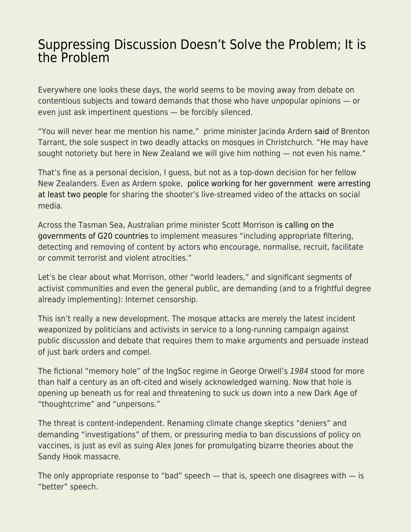## [Suppressing Discussion Doesn't Solve the Problem; It is](https://everything-voluntary.com/suppressing-discussion-doesnt-solve-the-problem-it-is-the-problem) [the Problem](https://everything-voluntary.com/suppressing-discussion-doesnt-solve-the-problem-it-is-the-problem)

Everywhere one looks these days, the world seems to be moving away from debate on contentious subjects and toward demands that those who have unpopular opinions — or even just ask impertinent questions — be forcibly silenced.

"You will never hear me mention his name," prime minister Jacinda Ardern [said](https://www.upi.com/Top_News/World-News/2019/03/19/New-Zealand-PM-Ill-never-utter-accused-gunmans-name/5101552971828/) of Brenton Tarrant, the sole suspect in two deadly attacks on mosques in Christchurch. "He may have sought notoriety but here in New Zealand we will give him nothing — not even his name."

That's fine as a personal decision, I guess, but not as a top-down decision for her fellow New Zealanders. Even as Ardern spoke, [police working for her government were arresting](https://www.nytimes.com/2019/03/21/world/asia/new-zealand-attacks-social-media.html) [at least two people](https://www.nytimes.com/2019/03/21/world/asia/new-zealand-attacks-social-media.html) for sharing the shooter's live-streamed video of the attacks on social media.

Across the Tasman Sea, Australian prime minister Scott Morrison [is calling on the](https://twitter.com/ScottMorrisonMP/status/1107775840824094720) [governments of G20 countries](https://twitter.com/ScottMorrisonMP/status/1107775840824094720) to implement measures "including appropriate filtering, detecting and removing of content by actors who encourage, normalise, recruit, facilitate or commit terrorist and violent atrocities."

Let's be clear about what Morrison, other "world leaders," and significant segments of activist communities and even the general public, are demanding (and to a frightful degree already implementing): Internet censorship.

This isn't really a new development. The mosque attacks are merely the latest incident weaponized by politicians and activists in service to a long-running campaign against public discussion and debate that requires them to make arguments and persuade instead of just bark orders and compel.

The fictional "memory hole" of the IngSoc regime in George Orwell's 1984 stood for more than half a century as an oft-cited and wisely acknowledged warning. Now that hole is opening up beneath us for real and threatening to suck us down into a new Dark Age of "thoughtcrime" and "unpersons."

The threat is content-independent. Renaming climate change skeptics "deniers" and demanding "investigations" of them, or pressuring media to ban discussions of policy on vaccines, is just as evil as suing Alex Jones for promulgating bizarre theories about the Sandy Hook massacre.

The only appropriate response to "bad" speech  $-$  that is, speech one disagrees with  $-$  is "better" speech.